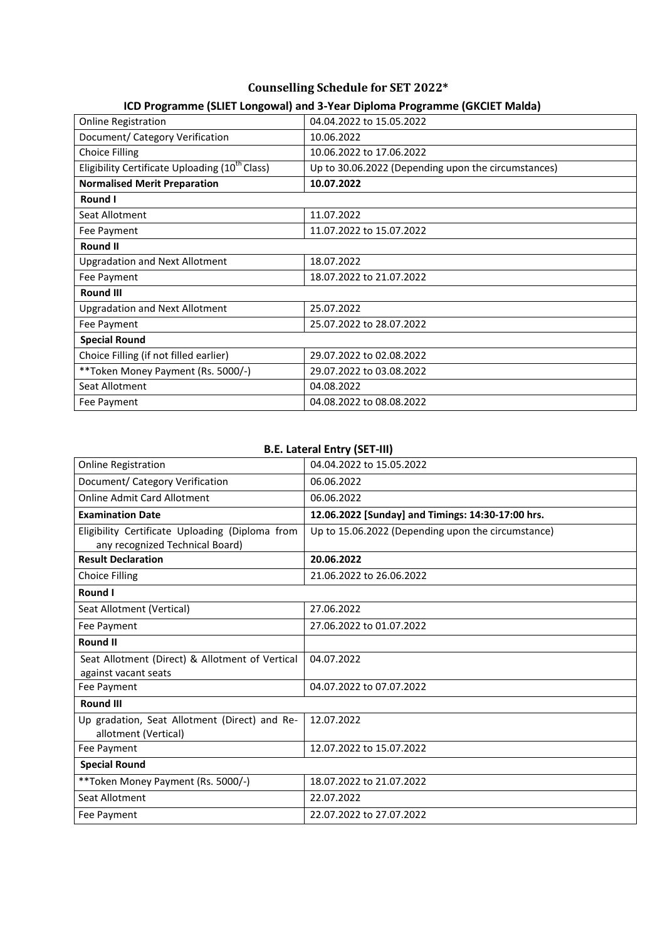# **Counselling Schedule for SET 2022\***

| <u>ico i rogramme (Jele) eongowal) and J-real Diploma i rogramme (Gitcle) ividida)</u> |                                                     |  |  |
|----------------------------------------------------------------------------------------|-----------------------------------------------------|--|--|
| <b>Online Registration</b>                                                             | 04.04.2022 to 15.05.2022                            |  |  |
| Document/ Category Verification                                                        | 10.06.2022                                          |  |  |
| <b>Choice Filling</b>                                                                  | 10.06.2022 to 17.06.2022                            |  |  |
| Eligibility Certificate Uploading (10 <sup>th</sup> Class)                             | Up to 30.06.2022 (Depending upon the circumstances) |  |  |
| <b>Normalised Merit Preparation</b>                                                    | 10.07.2022                                          |  |  |
| Round I                                                                                |                                                     |  |  |
| Seat Allotment                                                                         | 11.07.2022                                          |  |  |
| Fee Payment                                                                            | 11.07.2022 to 15.07.2022                            |  |  |
| <b>Round II</b>                                                                        |                                                     |  |  |
| <b>Upgradation and Next Allotment</b>                                                  | 18.07.2022                                          |  |  |
| Fee Payment                                                                            | 18.07.2022 to 21.07.2022                            |  |  |
| <b>Round III</b>                                                                       |                                                     |  |  |
| <b>Upgradation and Next Allotment</b>                                                  | 25.07.2022                                          |  |  |
| Fee Payment                                                                            | 25.07.2022 to 28.07.2022                            |  |  |
| <b>Special Round</b>                                                                   |                                                     |  |  |
| Choice Filling (if not filled earlier)                                                 | 29.07.2022 to 02.08.2022                            |  |  |
| **Token Money Payment (Rs. 5000/-)                                                     | 29.07.2022 to 03.08.2022                            |  |  |
| Seat Allotment                                                                         | 04.08.2022                                          |  |  |
| Fee Payment                                                                            | 04.08.2022 to 08.08.2022                            |  |  |

## **ICD Programme (SLIET Longowal) and 3-Year Diploma Programme (GKCIET Malda)**

#### **B.E. Lateral Entry (SET-III)**

| <b>Online Registration</b>                                                         | 04.04.2022 to 15.05.2022                           |  |
|------------------------------------------------------------------------------------|----------------------------------------------------|--|
| Document/ Category Verification                                                    | 06.06.2022                                         |  |
| <b>Online Admit Card Allotment</b>                                                 | 06.06.2022                                         |  |
| <b>Examination Date</b>                                                            | 12.06.2022 [Sunday] and Timings: 14:30-17:00 hrs.  |  |
| Eligibility Certificate Uploading (Diploma from<br>any recognized Technical Board) | Up to 15.06.2022 (Depending upon the circumstance) |  |
| <b>Result Declaration</b>                                                          | 20.06.2022                                         |  |
| <b>Choice Filling</b>                                                              | 21.06.2022 to 26.06.2022                           |  |
| Round I                                                                            |                                                    |  |
| Seat Allotment (Vertical)                                                          | 27.06.2022                                         |  |
| Fee Payment                                                                        | 27.06.2022 to 01.07.2022                           |  |
| <b>Round II</b>                                                                    |                                                    |  |
| Seat Allotment (Direct) & Allotment of Vertical<br>against vacant seats            | 04.07.2022                                         |  |
| Fee Payment                                                                        | 04.07.2022 to 07.07.2022                           |  |
| <b>Round III</b>                                                                   |                                                    |  |
| Up gradation, Seat Allotment (Direct) and Re-<br>allotment (Vertical)              | 12.07.2022                                         |  |
| Fee Payment                                                                        | 12.07.2022 to 15.07.2022                           |  |
| <b>Special Round</b>                                                               |                                                    |  |
| ** Token Money Payment (Rs. 5000/-)                                                | 18.07.2022 to 21.07.2022                           |  |
| Seat Allotment                                                                     | 22.07.2022                                         |  |
| Fee Payment                                                                        | 22.07.2022 to 27.07.2022                           |  |